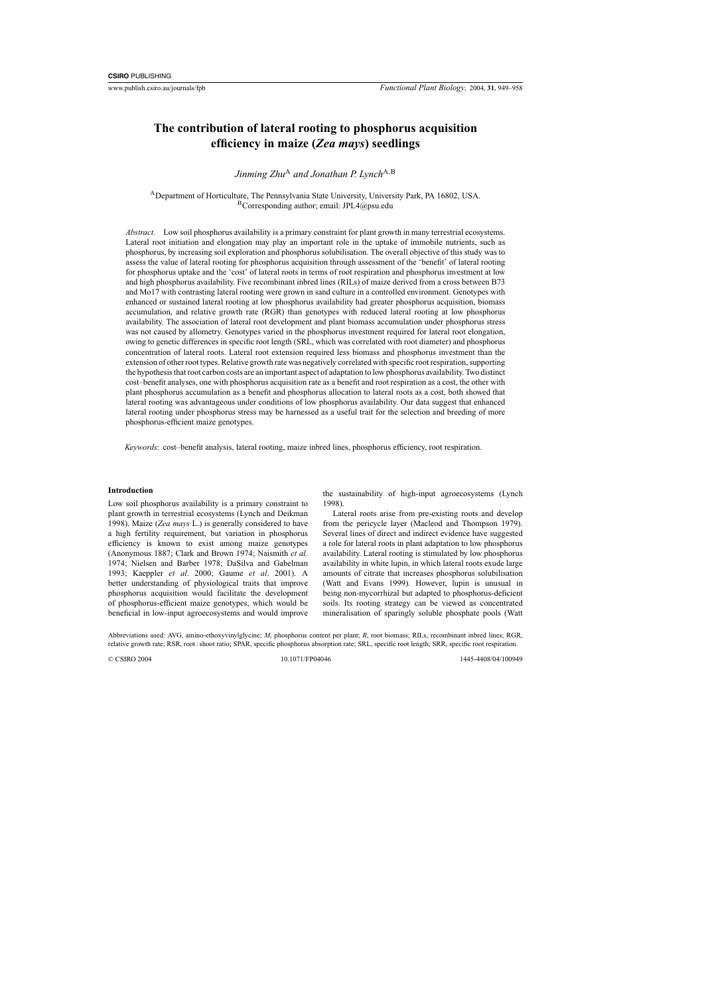# **The contribution of lateral rooting to phosphorus acquisition efficiency in maize (***Zea mays***) seedlings**

*Jinming Zhu*<sup>A</sup> *and Jonathan P. Lynch*<sup>A,B</sup>

ADepartment of Horticulture, The Pennsylvania State University, University Park, PA 16802, USA.  $B$ Corresponding author; email: JPL4@psu.edu

*Abstract.* Low soil phosphorus availability is a primary constraint for plant growth in many terrestrial ecosystems. Lateral root initiation and elongation may play an important role in the uptake of immobile nutrients, such as phosphorus, by increasing soil exploration and phosphorus solubilisation. The overall objective of this study was to assess the value of lateral rooting for phosphorus acquisition through assessment of the 'benefit' of lateral rooting for phosphorus uptake and the 'cost' of lateral roots in terms of root respiration and phosphorus investment at low and high phosphorus availability. Five recombinant inbred lines (RILs) of maize derived from a cross between B73 and Mo17 with contrasting lateral rooting were grown in sand culture in a controlled environment. Genotypes with enhanced or sustained lateral rooting at low phosphorus availability had greater phosphorus acquisition, biomass accumulation, and relative growth rate (RGR) than genotypes with reduced lateral rooting at low phosphorus availability. The association of lateral root development and plant biomass accumulation under phosphorus stress was not caused by allometry. Genotypes varied in the phosphorus investment required for lateral root elongation, owing to genetic differences in specific root length (SRL, which was correlated with root diameter) and phosphorus concentration of lateral roots. Lateral root extension required less biomass and phosphorus investment than the extension of other root types. Relative growth rate was negatively correlated with specific root respiration, supporting the hypothesis that root carbon costs are an important aspect of adaptation to low phosphorus availability. Two distinct cost–benefit analyses, one with phosphorus acquisition rate as a benefit and root respiration as a cost, the other with plant phosphorus accumulation as a benefit and phosphorus allocation to lateral roots as a cost, both showed that lateral rooting was advantageous under conditions of low phosphorus availability. Our data suggest that enhanced lateral rooting under phosphorus stress may be harnessed as a useful trait for the selection and breeding of more phosphorus-efficient maize genotypes.

*Keywords*: cost–benefit analysis, lateral rooting, maize inbred lines, phosphorus efficiency, root respiration.

## **Introduction**

Low soil phosphorus availability is a primary constraint to plant growth in terrestrial ecosystems ([Lynch and Deikman](#page-9-0) [1998\).](#page-9-0) Maize (*Zea mays* L.) is generally considered to have a high fertility requirement, but variation in phosphorus efficiency is known to exist among maize genotypes ([Anonymous 1887;](#page-8-0) Clark and Brown 1974; [Naismith](#page-9-0) *et al*. [1974; Nielsen and Barber 1978](#page-9-0); [DaSilva and Gabelman](#page-8-0) [1993;](#page-8-0) [Kaeppler](#page-9-0) *et al*. 2000; [Gaume](#page-8-0) *et al*. 2001). A better understanding of physiological traits that improve phosphorus acquisition would facilitate the development of phosphorus-efficient maize genotypes, which would be beneficial in low-input agroecosystems and would improve

the sustainability of high-input agroecosystems ([Lynch](#page-9-0) [1998\).](#page-9-0)

Lateral roots arise from pre-existing roots and develop from the pericycle layer ([Macleod and Thompson 1979](#page-9-0)). Several lines of direct and indirect evidence have suggested a role for lateral roots in plant adaptation to low phosphorus availability. Lateral rooting is stimulated by low phosphorus availability in white lupin, in which lateral roots exude large amounts of citrate that increases phosphorus solubilisation ([Watt and Evans 199](#page-9-0)9). However, lupin is unusual in being non-mycorrhizal but adapted to phosphorus-deficient soils. Its rooting strategy can be viewed as concentrated mineralisation of sparingly soluble phosphate pools ([Watt](#page-9-0)

Abbreviations used: AVG, amino-ethoxyvinylglycine; *M*, phosphorus content per plant; *R*, root biomass; RILs, recombinant inbred lines; RGR, relative growth rate; RSR, root : shoot ratio; SPAR, specific phosphorus absorption rate; SRL, specific root length; SRR, specific root respiration.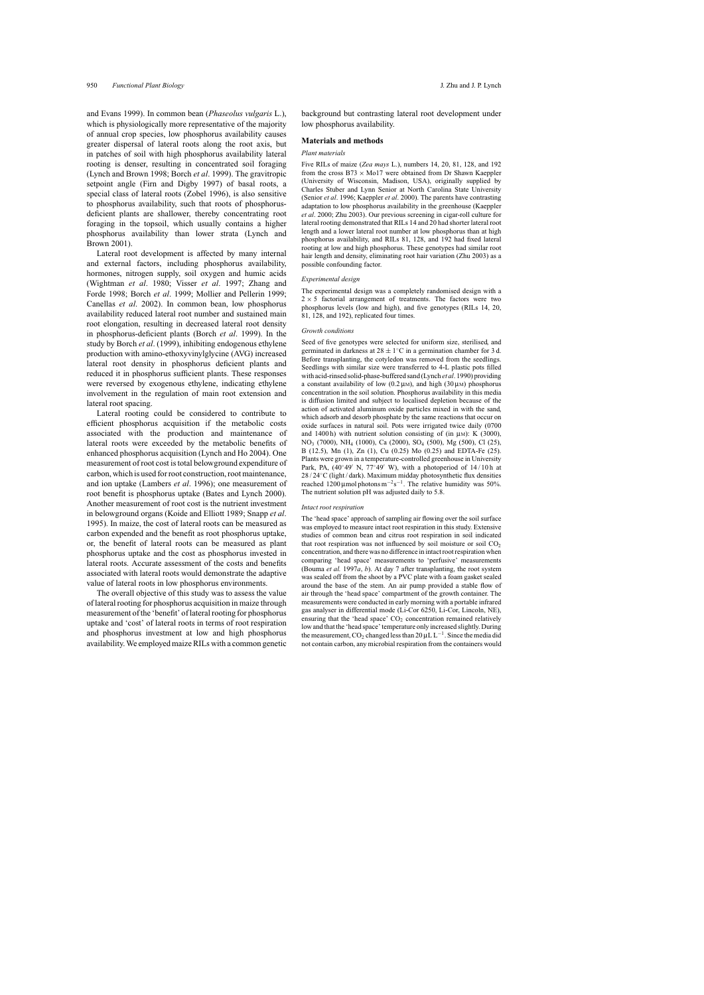[and Evans 1999\).](#page-9-0) In common bean (*Phaseolus vulgaris* L.), which is physiologically more representative of the majority of annual crop species, low phosphorus availability causes greater dispersal of lateral roots along the root axis, but in patches of soil with high phosphorus availability lateral rooting is denser, resulting in concentrated soil foraging [\(Lynch and Brown 1998; B](#page-9-0)orch *et al*[. 1999\).](#page-8-0) The gravitropic setpoint angle ([Firn and Digby 1997](#page-8-0)) of basal roots, a special class of lateral roots ([Zobel 1996\),](#page-9-0) is also sensitive to phosphorus availability, such that roots of phosphorusdeficient plants are shallower, thereby concentrating root foraging in the topsoil, which usually contains a higher phosphorus availability than lower strata [\(Lynch and](#page-9-0) [Brown 2001\).](#page-9-0)

Lateral root development is affected by many internal and external factors, including phosphorus availability, hormones, nitrogen supply, soil oxygen and humic acids [\(Wightman](#page-9-0) *et al*. 1980; [Visser](#page-9-0) *et al*. 1997; [Zhang and](#page-9-0) [Forde 1998;](#page-9-0) Borch *et al*[. 1999;](#page-8-0) [Mollier and Pellerin 1999;](#page-9-0) [Canellas](#page-8-0) *et al*. 2002). In common bean, low phosphorus availability reduced lateral root number and sustained main root elongation, resulting in decreased lateral root density in phosphorus-deficient plants (Borch *et al*[. 1999\)](#page-8-0). In the study by Borch *et al*[. \(1999\), i](#page-8-0)nhibiting endogenous ethylene production with amino-ethoxyvinylglycine (AVG) increased lateral root density in phosphorus deficient plants and reduced it in phosphorus sufficient plants. These responses were reversed by exogenous ethylene, indicating ethylene involvement in the regulation of main root extension and lateral root spacing.

Lateral rooting could be considered to contribute to efficient phosphorus acquisition if the metabolic costs associated with the production and maintenance of lateral roots were exceeded by the metabolic benefits of enhanced phosphorus acquisition ([Lynch and Ho 2004\).](#page-9-0) One measurement of root cost is total belowground expenditure of carbon, which is used for root construction, root maintenance, and ion uptake [\(Lambers](#page-9-0) *et al*. 1996); one measurement of root benefit is phosphorus uptake ([Bates and Lynch 2000\)](#page-8-0). Another measurement of root cost is the nutrient investment in belowground organs ([Koide and Elliott 1989; Snapp](#page-9-0) *et al*. [1995\).](#page-9-0) In maize, the cost of lateral roots can be measured as carbon expended and the benefit as root phosphorus uptake, or, the benefit of lateral roots can be measured as plant phosphorus uptake and the cost as phosphorus invested in lateral roots. Accurate assessment of the costs and benefits associated with lateral roots would demonstrate the adaptive value of lateral roots in low phosphorus environments.

The overall objective of this study was to assess the value of lateral rooting for phosphorus acquisition in maize through measurement of the 'benefit' of lateral rooting for phosphorus uptake and 'cost' of lateral roots in terms of root respiration and phosphorus investment at low and high phosphorus availability.We employed maize RILs with a common genetic background but contrasting lateral root development under low phosphorus availability.

#### **Materials and methods**

#### *Plant materials*

Five RILs of maize (*Zea mays* L.), numbers 14, 20, 81, 128, and 192 from the cross  $B73 \times Mo17$  were obtained from Dr Shawn Kaeppler (University of Wisconsin, Madison, USA), originally supplied by Charles Stuber and Lynn Senior at North Carolina State University (Senior *et al*[. 1996; Kaeppler](#page-9-0) *et al*. 2000). The parents have contrasting adaptation to low phosphorus availability in the greenhouse ([Kaeppler](#page-9-0) *et al*[. 2000; Zhu 2003\).](#page-9-0) Our previous screening in cigar-roll culture for lateral rooting demonstrated that RILs 14 and 20 had shorter lateral root length and a lower lateral root number at low phosphorus than at high phosphorus availability, and RILs 81, 128, and 192 had fixed lateral rooting at low and high phosphorus. These genotypes had similar root hair length and density, eliminating root hair variation [\(Zhu 2003\) a](#page-9-0)s a possible confounding factor.

#### *Experimental design*

The experimental design was a completely randomised design with a  $2 \times 5$  factorial arrangement of treatments. The factors were two phosphorus levels (low and high), and five genotypes (RILs 14, 20, 81, 128, and 192), replicated four times.

#### *Growth conditions*

Seed of five genotypes were selected for uniform size, sterilised, and germinated in darkness at  $28 \pm 1$ °C in a germination chamber for 3 d. Before transplanting, the cotyledon was removed from the seedlings. Seedlings with similar size were transferred to 4-L plastic pots filled with acid-rinsed solid-phase-buffered sand (Lynch *et al*[. 1990\) p](#page-9-0)roviding a constant availability of low (0.2  $\mu$ M), and high (30  $\mu$ M) phosphorus concentration in the soil solution. Phosphorus availability in this media is diffusion limited and subject to localised depletion because of the action of activated aluminum oxide particles mixed in with the sand, which adsorb and desorb phosphate by the same reactions that occur on oxide surfaces in natural soil. Pots were irrigated twice daily (0700 and 1400 h) with nutrient solution consisting of (in  $\mu$ M): K (3000), NO3 (7000), NH4 (1000), Ca (2000), SO4 (500), Mg (500), Cl (25), B (12.5), Mn (1), Zn (1), Cu (0.25) Mo (0.25) and EDTA-Fe (25). Plants were grown in a temperature-controlled greenhouse in University Park, PA,  $(40°49'$  N,  $77°49'$  W), with a photoperiod of  $14/10h$  at 28 / 24◦C (light / dark). Maximum midday photosynthetic flux densities reached 1200 µmol photons  $m^{-2}s^{-1}$ . The relative humidity was 50%. The nutrient solution pH was adjusted daily to 5.8.

#### *Intact root respiration*

The 'head space' approach of sampling air flowing over the soil surface was employed to measure intact root respiration in this study. Extensive studies of common bean and citrus root respiration in soil indicated that root respiration was not influenced by soil moisture or soil  $CO<sub>2</sub>$ concentration, and there was no difference in intact root respiration when comparing 'head space' measurements to 'perfusive' measurements ([Bouma](#page-8-0) *et al.* 1997*a*, *b*[\).](#page-8-0) At day 7 after transplanting, the root system was sealed off from the shoot by a PVC plate with a foam gasket sealed around the base of the stem. An air pump provided a stable flow of air through the 'head space' compartment of the growth container. The measurements were conducted in early morning with a portable infrared gas analyser in differential mode (Li-Cor 6250, Li-Cor, Lincoln, NE), ensuring that the 'head space'  $CO<sub>2</sub>$  concentration remained relatively low and that the 'head space' temperature only increased slightly. During the measurement, CO<sub>2</sub> changed less than 20  $\mu$ L L<sup>-1</sup>. Since the media did not contain carbon, any microbial respiration from the containers would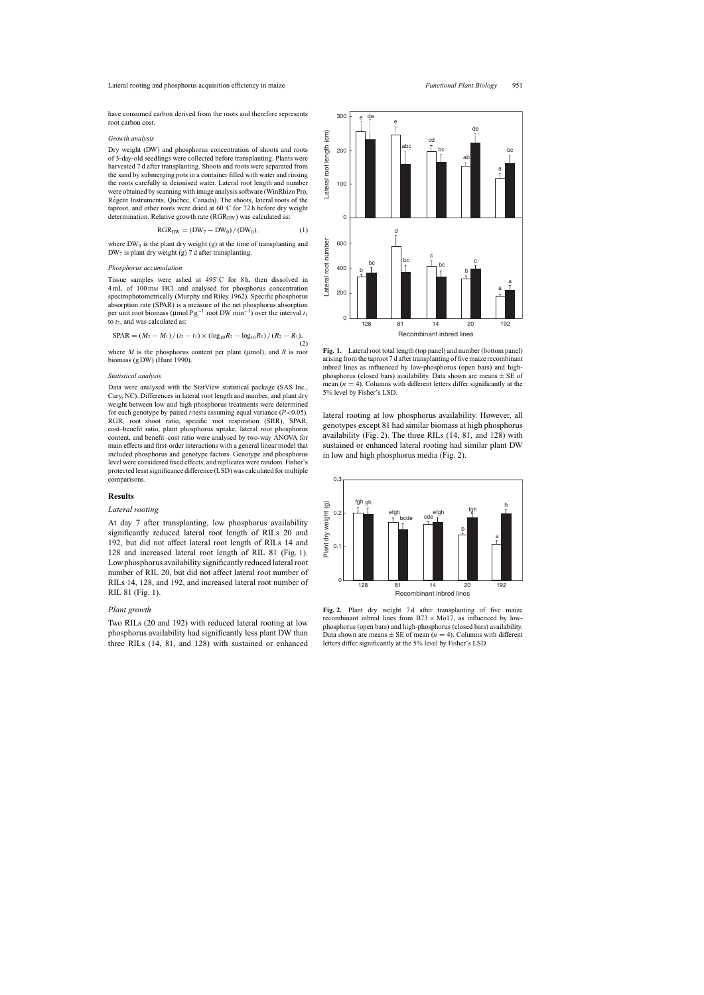have consumed carbon derived from the roots and therefore represents root carbon cost.

#### *Growth analysis*

Dry weight (DW) and phosphorus concentration of shoots and roots of 3-day-old seedlings were collected before transplanting. Plants were harvested 7 d after transplanting. Shoots and roots were separated from the sand by submerging pots in a container filled with water and rinsing the roots carefully in deionised water. Lateral root length and number were obtained by scanning with image analysis software (WinRhizo Pro, Régent Instruments, Québec, Canada). The shoots, lateral roots of the taproot, and other roots were dried at 60◦C for 72 h before dry weight determination. Relative growth rate  $(RGR_{DW})$  was calculated as:

$$
RGR_{DW} = (DW_7 - DW_0) / (DW_0),
$$
 (1)

where  $DW_0$  is the plant dry weight (g) at the time of transplanting and  $DW_7$  is plant dry weight (g) 7 d after transplanting.

#### *Phosphorus accumulation*

Tissue samples were ashed at 495◦C for 8 h, then dissolved in 4 mL of 100 mM HCl and analysed for phosphorus concentration spectrophotometrically [\(Murphy and Riley 1962\).](#page-9-0) Specific phosphorus absorption rate (SPAR) is a measure of the net phosphorus absorption per unit root biomass (µmol P g−<sup>1</sup> root DW min−1) over the interval *t*<sup>1</sup> to  $t_2$ , and was calculated as:

$$
SPAR = (M_2 - M_1) / (t_2 - t_1) \times (\log_{10} R_2 - \log_{10} R_1) / (R_2 - R_1),
$$
\n(2)

where  $M$  is the phosphorus content per plant ( $\mu$ mol), and  $R$  is root biomass (g DW) [\(Hunt 1990\).](#page-9-0)

#### *Statistical analysis*

Data were analysed with the StatView statistical package (SAS Inc., Cary, NC). Differences in lateral root length and number, and plant dry weight between low and high phosphorus treatments were determined for each genotype by paired *t*-tests assuming equal variance (*P*<0.05). RGR, root : shoot ratio, specific root respiration (SRR), SPAR, cost–benefit ratio, plant phosphorus uptake, lateral root phosphorus content, and benefit–cost ratio were analysed by two-way ANOVA for main effects and first-order interactions with a general linear model that included phosphorus and genotype factors. Genotype and phosphorus level were considered fixed effects, and replicates were random. Fisher's protected least significance difference (LSD) was calculated for multiple comparisons.

### **Results**

#### *Lateral rooting*

At day 7 after transplanting, low phosphorus availability significantly reduced lateral root length of RILs 20 and 192, but did not affect lateral root length of RILs 14 and 128 and increased lateral root length of RIL 81 (Fig. 1). Low phosphorus availability significantly reduced lateral root number of RIL 20, but did not affect lateral root number of RILs 14, 128, and 192, and increased lateral root number of RIL 81 (Fig. 1).

#### *Plant growth*

Two RILs (20 and 192) with reduced lateral rooting at low phosphorus availability had significantly less plant DW than three RILs (14, 81, and 128) with sustained or enhanced

128 81 14 20 192 0  $\Omega$ 200 400 600 Recombinant inbred lines c a a bc d b bc  $\begin{array}{c|c}\n\end{array}$  bc  $\begin{array}{c}\n\end{array}$  bc  $\begin{array}{ccc}\n\end{array}$  bc  $\begin{array}{ccc}\n\end{array}$ b **Fig. 1.** Lateral root total length (top panel) and number (bottom panel)

arising from the taproot 7 d after transplanting of five maize recombinant inbred lines as influenced by low-phosphorus (open bars) and highphosphorus (closed bars) availability. Data shown are means  $\pm$  SE of mean  $(n = 4)$ . Columns with different letters differ significantly at the 5% level by Fisher's LSD.

lateral rooting at low phosphorus availability. However, all genotypes except 81 had similar biomass at high phosphorus availability (Fig. 2). The three RILs (14, 81, and 128) with sustained or enhanced lateral rooting had similar plant DW in low and high phosphorus media (Fig. 2).





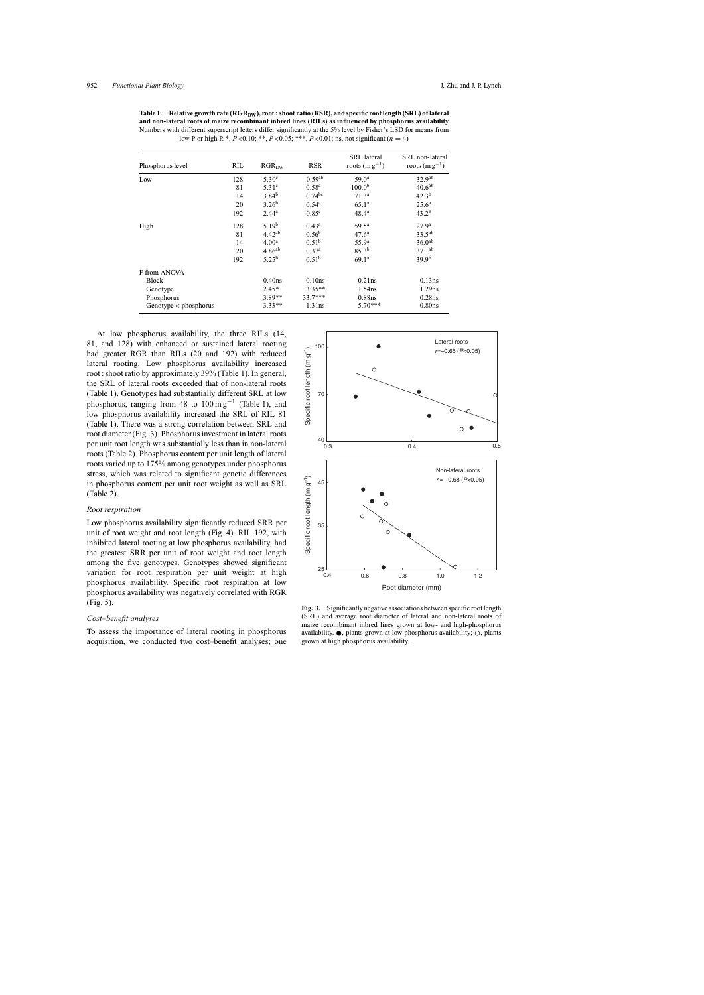<span id="page-3-0"></span>Table 1. Relative growth rate (RGR<sub>DW</sub>), root: shoot ratio (RSR), and specific root length (SRL) of lateral **and non-lateral roots of maize recombinant inbred lines (RILs) as influenced by phosphorus availability** Numbers with different superscript letters differ significantly at the 5% level by Fisher's LSD for means from low P or high P. \*,  $P < 0.10$ ; \*\*,  $P < 0.05$ ; \*\*\*,  $P < 0.01$ ; ns, not significant (n = 4)

| RIL<br>Phosphorus level      |     | RGR <sub>DW</sub> | <b>RSR</b>         | <b>SRL</b> lateral<br>roots $(m g^{-1})$ | SRL non-lateral<br>roots $(m g^{-1})$ |  |  |
|------------------------------|-----|-------------------|--------------------|------------------------------------------|---------------------------------------|--|--|
| Low                          | 128 | 5.30 <sup>c</sup> | 0.59 <sup>ab</sup> | $59.0^{\rm a}$                           | 32.9 <sup>ab</sup>                    |  |  |
|                              | 81  | 5.31 <sup>c</sup> | 0.58 <sup>a</sup>  | 100.0 <sup>b</sup>                       | 40.6 <sup>ab</sup>                    |  |  |
|                              | 14  | $3.84^{b}$        | $0.74^{bc}$        | 71.3 <sup>a</sup>                        | $42.3^{b}$                            |  |  |
|                              | 20  | $3.26^{b}$        | $0.54^{\rm a}$     | $65.1^{\rm a}$                           | $25.6^{\rm a}$                        |  |  |
|                              | 192 | $2.44^a$          | 0.85 <sup>c</sup>  | $48.4^{\circ}$                           | $43.2^{b}$                            |  |  |
| High                         | 128 | 5.19 <sup>b</sup> | $0.43^a$           | $59.5^{\rm a}$                           | 27.9 <sup>a</sup>                     |  |  |
|                              | 81  | $4.42^{ab}$       | $0.56^{\rm b}$     | 47.6 <sup>a</sup>                        | $33.5^{ab}$                           |  |  |
|                              | 14  | 4.00 <sup>a</sup> | 0.51 <sup>b</sup>  | 55.9 <sup>a</sup>                        | 36.0 <sup>ab</sup>                    |  |  |
|                              | 20  | $4.86^{ab}$       | 0.37 <sup>a</sup>  | $85.3^{b}$                               | $37.1^{ab}$                           |  |  |
|                              | 192 | $5.25^{b}$        | $0.51^{b}$         | 69.1 <sup>a</sup>                        | $39.9^{b}$                            |  |  |
| F from ANOVA                 |     |                   |                    |                                          |                                       |  |  |
| Block                        |     | $0.40$ ns         | 0.10ns             | 0.21ns                                   | 0.13ns                                |  |  |
| Genotype                     |     | $2.45*$           | $3.35**$           | 1.54ns                                   | 1.29ns                                |  |  |
| Phosphorus                   |     | $3.89**$          | $33.7***$          | 0.88ns                                   | $0.28$ ns                             |  |  |
| Genotype $\times$ phosphorus |     | $3.33**$          | 1.31ns             | $5.70***$                                | $0.80$ ns                             |  |  |

At low phosphorus availability, the three RILs (14, 81, and 128) with enhanced or sustained lateral rooting had greater RGR than RILs (20 and 192) with reduced lateral rooting. Low phosphorus availability increased root : shoot ratio by approximately 39% (Table 1). In general, the SRL of lateral roots exceeded that of non-lateral roots (Table 1). Genotypes had substantially different SRL at low phosphorus, ranging from 48 to  $100 \text{ m g}^{-1}$  (Table 1), and low phosphorus availability increased the SRL of RIL 81 (Table 1). There was a strong correlation between SRL and root diameter (Fig. 3). Phosphorus investment in lateral roots per unit root length was substantially less than in non-lateral roots [\(Table 2\).](#page-4-0) Phosphorus content per unit length of lateral roots varied up to 175% among genotypes under phosphorus stress, which was related to significant genetic differences in phosphorus content per unit root weight as well as SRL [\(Table 2\).](#page-4-0)

## *Root respiration*

Low phosphorus availability significantly reduced SRR per unit of root weight and root length ([Fig. 4\).](#page-4-0) RIL 192, with inhibited lateral rooting at low phosphorus availability, had the greatest SRR per unit of root weight and root length among the five genotypes. Genotypes showed significant variation for root respiration per unit weight at high phosphorus availability. Specific root respiration at low phosphorus availability was negatively correlated with RGR [\(Fig. 5\).](#page-5-0)

#### *Cost–benefit analyses*

To assess the importance of lateral rooting in phosphorus acquisition, we conducted two cost–benefit analyses; one



Fig. 3. Significantly negative associations between specific root length (SRL) and average root diameter of lateral and non-lateral roots of maize recombinant inbred lines grown at low- and high-phosphorus availability.  $\bullet$ , plants grown at low phosphorus availability;  $\circ$ , plants grown at high phosphorus availability.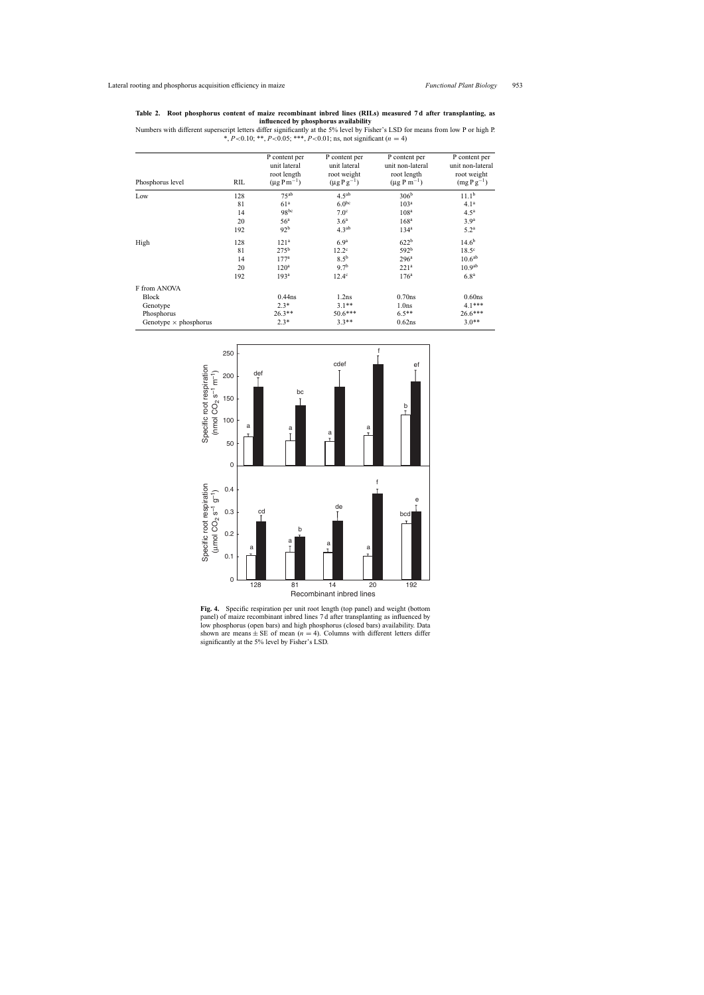## <span id="page-4-0"></span>**Table 2. Root phosphorus content of maize recombinant inbred lines (RILs) measured 7 d after transplanting, as influenced by phosphorus availability**

Numbers with different superscript letters differ significantly at the 5% level by Fisher's LSD for means from low P or high P. \*, *P*<0.10; \*\*, *P*<0.05; \*\*\*, *P*<0.01; ns, not significant (n = 4)

| Phosphorus level             | RIL | P content per<br>unit lateral<br>root length<br>$(\mu g P m^{-1})$ | P content per<br>unit lateral<br>root weight<br>$(\mu g P g^{-1})$ | P content per<br>unit non-lateral<br>root length<br>$(\mu g P m^{-1})$ | P content per<br>unit non-lateral<br>root weight<br>$(mg\,P\,g^{-1})$ |
|------------------------------|-----|--------------------------------------------------------------------|--------------------------------------------------------------------|------------------------------------------------------------------------|-----------------------------------------------------------------------|
| Low                          | 128 | $75^{ab}$                                                          | 4.5 <sup>ab</sup>                                                  | 306 <sup>b</sup>                                                       | 11.1 <sup>b</sup>                                                     |
|                              | 81  | 61 <sup>a</sup>                                                    | 6.0 <sup>bc</sup>                                                  | 103 <sup>a</sup>                                                       | 4.1 <sup>a</sup>                                                      |
|                              | 14  | $98^{bc}$                                                          | 7.0 <sup>c</sup>                                                   | 108 <sup>a</sup>                                                       | 4.5 <sup>a</sup>                                                      |
|                              | 20  | 56 <sup>a</sup>                                                    | 3.6 <sup>a</sup>                                                   | 168 <sup>a</sup>                                                       | 3.9 <sup>a</sup>                                                      |
|                              | 192 | 92 <sup>b</sup>                                                    | 4.3 <sup>ab</sup>                                                  | 134 <sup>a</sup>                                                       | 5.2 <sup>a</sup>                                                      |
| High                         | 128 | 121 <sup>a</sup>                                                   | 6.9 <sup>a</sup>                                                   | 622 <sup>b</sup>                                                       | $14.6^{b}$                                                            |
|                              | 81  | 275 <sup>b</sup>                                                   | $12.2^{\circ}$                                                     | $592^{b}$                                                              | 18.5 <sup>c</sup>                                                     |
|                              | 14  | 177 <sup>a</sup>                                                   | $8.5^{\rm b}$                                                      | 296 <sup>a</sup>                                                       | 10.6 <sup>ab</sup>                                                    |
|                              | 20  | 120 <sup>a</sup>                                                   | $9.7^{b}$                                                          | 221 <sup>a</sup>                                                       | 10.9 <sup>ab</sup>                                                    |
|                              | 192 | 193 <sup>a</sup>                                                   | $12.4^{\circ}$                                                     | 176 <sup>a</sup>                                                       | 6.8 <sup>a</sup>                                                      |
| F from ANOVA                 |     |                                                                    |                                                                    |                                                                        |                                                                       |
| <b>Block</b>                 |     | $0.44$ ns                                                          | 1.2ns                                                              | $0.70$ ns                                                              | $0.60$ ns                                                             |
| Genotype                     |     | $2.3*$                                                             | $3.1**$                                                            | 1.0 <sub>ns</sub>                                                      | $4.1***$                                                              |
| Phosphorus                   |     | $26.3**$                                                           | $50.6***$                                                          | $6.5**$                                                                | $26.6***$                                                             |
| Genotype $\times$ phosphorus |     | $2.3*$                                                             | $3.3**$                                                            | 0.62ns                                                                 | $3.0**$                                                               |



**Fig. 4.** Specific respiration per unit root length (top panel) and weight (bottom panel) of maize recombinant inbred lines 7 d after transplanting as influenced by low phosphorus (open bars) and high phosphorus (closed bars) availability. Data shown are means  $\pm$  SE of mean ( $n = 4$ ). Columns with different letters differ significantly at the 5% level by Fisher's LSD.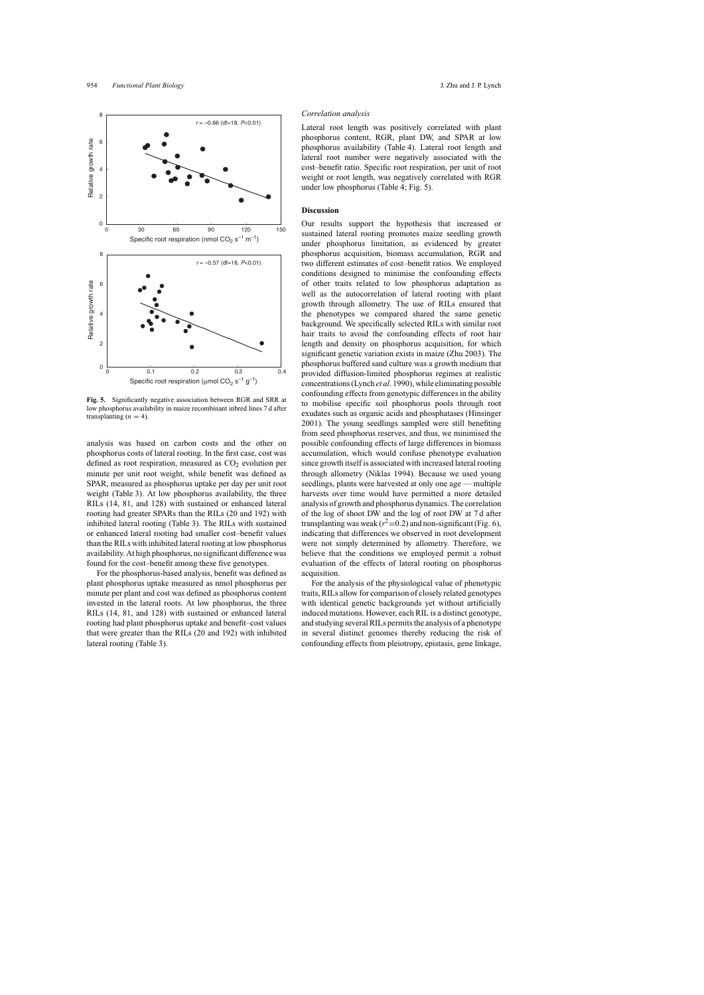<span id="page-5-0"></span>

**Fig. 5.** Significantly negative association between RGR and SRR at low phosphorus availability in maize recombinant inbred lines 7 d after transplanting  $(n = 4)$ .

analysis was based on carbon costs and the other on phosphorus costs of lateral rooting. In the first case, cost was defined as root respiration, measured as CO<sub>2</sub> evolution per minute per unit root weight, while benefit was defined as SPAR, measured as phosphorus uptake per day per unit root weight ([Table 3\).](#page-6-0) At low phosphorus availability, the three RILs (14, 81, and 128) with sustained or enhanced lateral rooting had greater SPARs than the RILs (20 and 192) with inhibited lateral rooting [\(Table 3\).](#page-6-0) The RILs with sustained or enhanced lateral rooting had smaller cost–benefit values than the RILs with inhibited lateral rooting at low phosphorus availability. At high phosphorus, no significant difference was found for the cost–benefit among these five genotypes.

For the phosphorus-based analysis, benefit was defined as plant phosphorus uptake measured as nmol phosphorus per minute per plant and cost was defined as phosphorus content invested in the lateral roots. At low phosphorus, the three RILs (14, 81, and 128) with sustained or enhanced lateral rooting had plant phosphorus uptake and benefit–cost values that were greater than the RILs (20 and 192) with inhibited lateral rooting ([Table 3\).](#page-6-0)

#### *Correlation analysis*

Lateral root length was positively correlated with plant phosphorus content, RGR, plant DW, and SPAR at low phosphorus availability [\(Table 4\).](#page-6-0) Lateral root length and lateral root number were negatively associated with the cost–benefit ratio. Specific root respiration, per unit of root weight or root length, was negatively correlated with RGR under low phosphorus ([Table 4;](#page-6-0) Fig. 5).

#### **Discussion**

Our results support the hypothesis that increased or sustained lateral rooting promotes maize seedling growth under phosphorus limitation, as evidenced by greater phosphorus acquisition, biomass accumulation, RGR and two different estimates of cost–benefit ratios. We employed conditions designed to minimise the confounding effects of other traits related to low phosphorus adaptation as well as the autocorrelation of lateral rooting with plant growth through allometry. The use of RILs ensured that the phenotypes we compared shared the same genetic background. We specifically selected RILs with similar root hair traits to avoid the confounding effects of root hair length and density on phosphorus acquisition, for which significant genetic variation exists in maize ([Zhu 2003\).](#page-9-0) The phosphorus buffered sand culture was a growth medium that provided diffusion-limited phosphorus regimes at realistic concentrations (Lynch *et al*[. 1990\), w](#page-9-0)hile eliminating possible confounding effects from genotypic differences in the ability to mobilise specific soil phosphorus pools through root exudates such as organic acids and phosphatases ([Hinsinger](#page-9-0) [2001\).](#page-9-0) The young seedlings sampled were still benefiting from seed phosphorus reserves, and thus, we minimised the possible confounding effects of large differences in biomass accumulation, which would confuse phenotype evaluation since growth itself is associated with increased lateral rooting through allometry [\(Niklas 1994\).](#page-9-0) Because we used young seedlings, plants were harvested at only one age — multiple harvests over time would have permitted a more detailed analysis of growth and phosphorus dynamics. The correlation of the log of shoot DW and the log of root DW at 7 d after transplanting was weak ( $r^2$ =0.2) and non-significant [\(Fig. 6\),](#page-7-0) indicating that differences we observed in root development were not simply determined by allometry. Therefore, we believe that the conditions we employed permit a robust evaluation of the effects of lateral rooting on phosphorus acquisition.

For the analysis of the physiological value of phenotypic traits, RILs allow for comparison of closely related genotypes with identical genetic backgrounds yet without artificially induced mutations. However, each RIL is a distinct genotype, and studying several RILs permits the analysis of a phenotype in several distinct genomes thereby reducing the risk of confounding effects from pleiotropy, epistasis, gene linkage,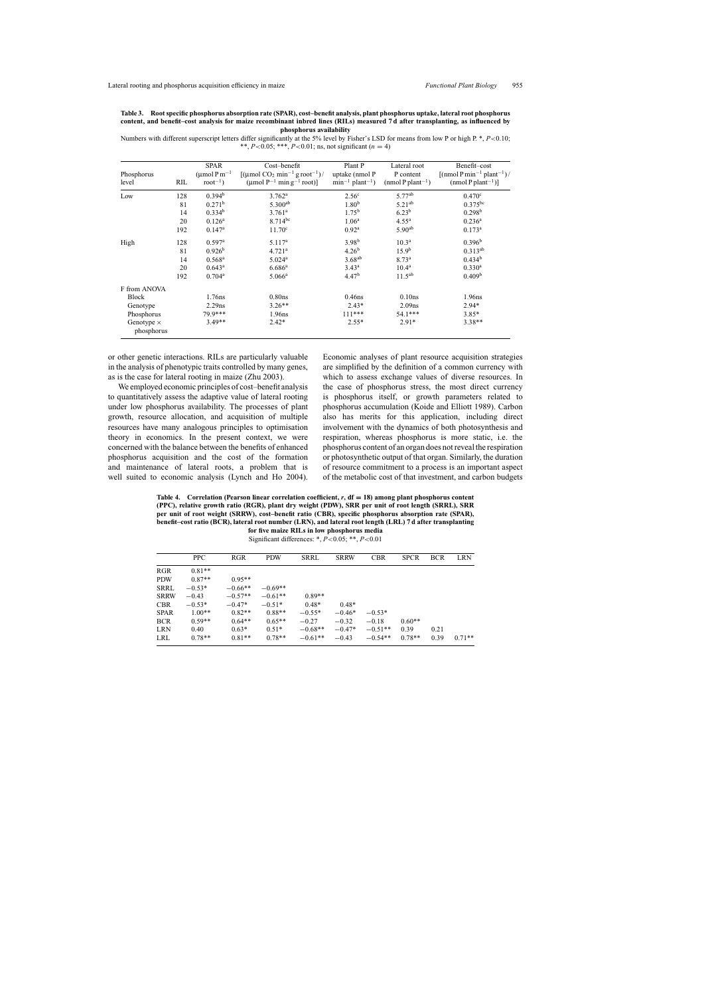<span id="page-6-0"></span>

| Table 3. Root specific phosphorus absorption rate (SPAR), cost-benefit analysis, plant phosphorus uptake, lateral root phosphorus |
|-----------------------------------------------------------------------------------------------------------------------------------|
| content, and benefit-cost analysis for maize recombinant inbred lines (RILs) measured 7d after transplanting, as influenced by    |
| phosphorus availability                                                                                                           |

Numbers with different superscript letters differ significantly at the 5% level by Fisher's LSD for means from low P or high P. \*,  $P < 0.10$ ; \*\*,  $P < 0.05$ ; \*\*\*,  $P < 0.01$ ; ns, not significant (n = 4)

| Phosphorus<br>level             | RIL | <b>SPAR</b><br>$(\mu$ mol P m <sup>-1</sup><br>$root^{-1}$ ) | Cost-benefit<br>$\left[\frac{\mu}{\text{mol CO}_2 \text{min}^{-1} \text{g root}^{-1}}\right]$<br>(umol $P^{-1}$ min g <sup>-1</sup> root)] | Plant P<br>uptake (nmol P<br>$min^{-1}$ plant <sup>-1</sup> ) | Lateral root<br>P content<br>$(nmol P plant^{-1})$ | Benefit-cost<br>$\lceil$ (nmol P min <sup>-1</sup> plant <sup>-1</sup> )/<br>(nmol P plant <sup>-1</sup> )] |
|---------------------------------|-----|--------------------------------------------------------------|--------------------------------------------------------------------------------------------------------------------------------------------|---------------------------------------------------------------|----------------------------------------------------|-------------------------------------------------------------------------------------------------------------|
| Low                             | 128 | 0.394 <sup>b</sup>                                           | $3.762^{\rm a}$                                                                                                                            | 2.56 <sup>c</sup>                                             | 5.77 <sup>ab</sup>                                 | 0.470 <sup>c</sup>                                                                                          |
|                                 | 81  | 0.271 <sup>b</sup>                                           | $5.300^{ab}$                                                                                                                               | 1.80 <sup>b</sup>                                             | $5.21^{ab}$                                        | $0.375^{bc}$                                                                                                |
|                                 | 14  | $0.334^{b}$                                                  | $3.761^a$                                                                                                                                  | $1.75^{b}$                                                    | $6.23^{b}$                                         | $0.298^{b}$                                                                                                 |
|                                 | 20  | $0.126^a$                                                    | $8.714^{bc}$                                                                                                                               | 1.06 <sup>a</sup>                                             | $4.55^{\rm a}$                                     | $0.236^{\rm a}$                                                                                             |
|                                 | 192 | $0.147^{\rm a}$                                              | $11.70^{\circ}$                                                                                                                            | 0.92 <sup>a</sup>                                             | 5.90 <sup>ab</sup>                                 | $0.173^a$                                                                                                   |
| High                            | 128 | $0.597$ <sup>a</sup>                                         | 5.117 <sup>a</sup>                                                                                                                         | 3.98 <sup>b</sup>                                             | $10.3^{\rm a}$                                     | 0.396 <sup>b</sup>                                                                                          |
|                                 | 81  | 0.926 <sup>b</sup>                                           | 4.721 <sup>a</sup>                                                                                                                         | $4.26^{b}$                                                    | 15.9 <sup>b</sup>                                  | $0.313^{ab}$                                                                                                |
|                                 | 14  | $0.568$ <sup>a</sup>                                         | 5.024 <sup>a</sup>                                                                                                                         | $3.68^{ab}$                                                   | 8.73 <sup>a</sup>                                  | 0.434 <sup>b</sup>                                                                                          |
|                                 | 20  | $0.643^a$                                                    | 6.686 <sup>a</sup>                                                                                                                         | $3.43^{\rm a}$                                                | $10.4^{\rm a}$                                     | $0.330$ <sup>a</sup>                                                                                        |
|                                 | 192 | $0.704^a$                                                    | $5.066^{\rm a}$                                                                                                                            | 4.47 <sup>b</sup>                                             | $11.5^{ab}$                                        | 0.409 <sup>b</sup>                                                                                          |
| F from ANOVA                    |     |                                                              |                                                                                                                                            |                                                               |                                                    |                                                                                                             |
| Block                           |     | 1.76ns                                                       | 0.80 <sub>ns</sub>                                                                                                                         | $0.46$ ns                                                     | 0.10ns                                             | 1.96ns                                                                                                      |
| Genotype                        |     | $2.29$ ns                                                    | $3.26**$                                                                                                                                   | $2.43*$                                                       | 2.09 <sub>ns</sub>                                 | $2.94*$                                                                                                     |
| Phosphorus                      |     | 79.9***                                                      | 1.96ns                                                                                                                                     | $111***$                                                      | 54.1***                                            | $3.85*$                                                                                                     |
| Genotype $\times$<br>phosphorus |     | $3.49**$                                                     | $2.42*$                                                                                                                                    | $2.55*$                                                       | $2.91*$                                            | $3.38**$                                                                                                    |

or other genetic interactions. RILs are particularly valuable in the analysis of phenotypic traits controlled by many genes, as is the case for lateral rooting in maize [\(Zhu 2003\).](#page-9-0)

We employed economic principles of cost–benefit analysis to quantitatively assess the adaptive value of lateral rooting under low phosphorus availability. The processes of plant growth, resource allocation, and acquisition of multiple resources have many analogous principles to optimisation theory in economics. In the present context, we were concerned with the balance between the benefits of enhanced phosphorus acquisition and the cost of the formation and maintenance of lateral roots, a problem that is well suited to economic analysis ([Lynch and Ho 2004](#page-9-0)).

Economic analyses of plant resource acquisition strategies are simplified by the definition of a common currency with which to assess exchange values of diverse resources. In the case of phosphorus stress, the most direct currency is phosphorus itself, or growth parameters related to phosphorus accumulation [\(Koide and Elliott 1989\).](#page-9-0) Carbon also has merits for this application, including direct involvement with the dynamics of both photosynthesis and respiration, whereas phosphorus is more static, i.e. the phosphorus content of an organ does not reveal the respiration or photosynthetic output of that organ. Similarly, the duration of resource commitment to a process is an important aspect of the metabolic cost of that investment, and carbon budgets

**Table 4. Correlation (Pearson linear correlation coefficient,** *r***, df = 18) among plant phosphorus content (PPC), relative growth ratio (RGR), plant dry weight (PDW), SRR per unit of root length (SRRL), SRR per unit of root weight (SRRW), cost–benefit ratio (CBR), specific phosphorus absorption rate (SPAR), benefit–cost ratio (BCR), lateral root number (LRN), and lateral root length (LRL) 7 d after transplanting for five maize RILs in low phosphorus media**

Significant differences: \*, *P*<0.05; \*\*, *P*<0.01

| PPC.     | <b>RGR</b> | <b>PDW</b> | SRRL      | <b>SRRW</b> | <b>CBR</b> | <b>SPCR</b> | <b>BCR</b> | LRN      |
|----------|------------|------------|-----------|-------------|------------|-------------|------------|----------|
| $0.81**$ |            |            |           |             |            |             |            |          |
| $0.87**$ | $0.95**$   |            |           |             |            |             |            |          |
| $-0.53*$ | $-0.66**$  | $-0.69**$  |           |             |            |             |            |          |
| $-0.43$  | $-0.57**$  | $-0.61**$  | $0.89**$  |             |            |             |            |          |
| $-0.53*$ | $-0.47*$   | $-0.51*$   | $0.48*$   | $0.48*$     |            |             |            |          |
| $1.00**$ | $0.82**$   | $0.88**$   | $-0.55*$  | $-0.46*$    | $-0.53*$   |             |            |          |
| $0.59**$ | $0.64**$   | $0.65**$   | $-0.27$   | $-0.32$     | $-0.18$    | $0.60**$    |            |          |
| 0.40     | $0.63*$    | $0.51*$    | $-0.68**$ | $-0.47*$    | $-0.51**$  | 0.39        | 0.21       |          |
| $0.78**$ | $0.81**$   | $0.78**$   | $-0.61**$ | $-0.43$     | $-0.54**$  | $0.78**$    | 0.39       | $0.71**$ |
|          |            |            |           |             |            |             |            |          |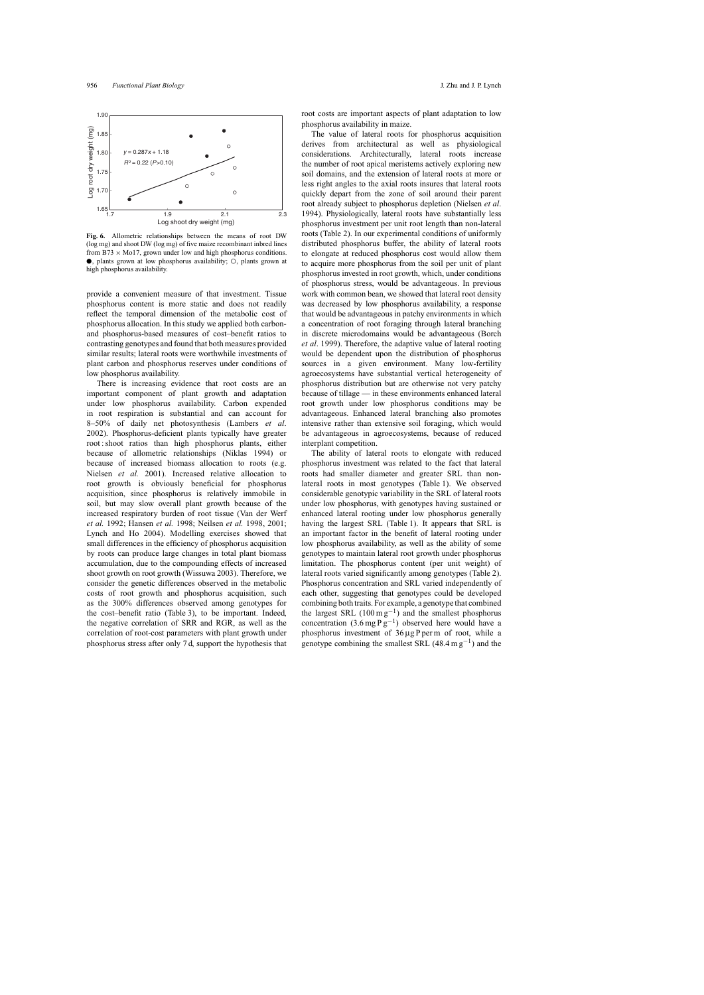<span id="page-7-0"></span>

**Fig. 6.** Allometric relationships between the means of root DW (log mg) and shoot DW (log mg) of five maize recombinant inbred lines from B73  $\times$  Mo17, grown under low and high phosphorus conditions. ●, plants grown at low phosphorus availability; ○, plants grown at high phosphorus availability.

provide a convenient measure of that investment. Tissue phosphorus content is more static and does not readily reflect the temporal dimension of the metabolic cost of phosphorus allocation. In this study we applied both carbonand phosphorus-based measures of cost–benefit ratios to contrasting genotypes and found that both measures provided similar results; lateral roots were worthwhile investments of plant carbon and phosphorus reserves under conditions of low phosphorus availability.

There is increasing evidence that root costs are an important component of plant growth and adaptation under low phosphorus availability. Carbon expended in root respiration is substantial and can account for 8–50% of daily net photosynthesis ([Lambers](#page-9-0) *et al*. [2002\).](#page-9-0) Phosphorus-deficient plants typically have greater root : shoot ratios than high phosphorus plants, either because of allometric relationships ([Niklas 1994](#page-9-0)) or because of increased biomass allocation to roots (e.g. [Nielsen](#page-9-0) *et al.* 2001). Increased relative allocation to root growth is obviously beneficial for phosphorus acquisition, since phosphorus is relatively immobile in soil, but may slow overall plant growth because of the increased respiratory burden of root tissue [\(Van der Werf](#page-9-0) *et al.* [1992;](#page-9-0) [Hansen](#page-8-0) *et al.* 1998; [Neilsen](#page-9-0) *et al.* 1998, [2001;](#page-9-0) [Lynch and Ho 200](#page-9-0)4). Modelling exercises showed that small differences in the efficiency of phosphorus acquisition by roots can produce large changes in total plant biomass accumulation, due to the compounding effects of increased shoot growth on root growth ([Wissuwa 2003\).](#page-9-0) Therefore, we consider the genetic differences observed in the metabolic costs of root growth and phosphorus acquisition, such as the 300% differences observed among genotypes for the cost–benefit ratio ([Table 3\),](#page-6-0) to be important. Indeed, the negative correlation of SRR and RGR, as well as the correlation of root-cost parameters with plant growth under phosphorus stress after only 7 d, support the hypothesis that

root costs are important aspects of plant adaptation to low phosphorus availability in maize.

The value of lateral roots for phosphorus acquisition derives from architectural as well as physiological considerations. Architecturally, lateral roots increase the number of root apical meristems actively exploring new soil domains, and the extension of lateral roots at more or less right angles to the axial roots insures that lateral roots quickly depart from the zone of soil around their parent root already subject to phosphorus depletion [\(Nielsen](#page-9-0) *et al*. [1994\).](#page-9-0) Physiologically, lateral roots have substantially less phosphorus investment per unit root length than non-lateral roots ([Table 2\).](#page-4-0) In our experimental conditions of uniformly distributed phosphorus buffer, the ability of lateral roots to elongate at reduced phosphorus cost would allow them to acquire more phosphorus from the soil per unit of plant phosphorus invested in root growth, which, under conditions of phosphorus stress, would be advantageous. In previous work with common bean, we showed that lateral root density was decreased by low phosphorus availability, a response that would be advantageous in patchy environments in which a concentration of root foraging through lateral branching in discrete microdomains would be advantageous ([Borch](#page-8-0) *et al*[. 1999\).](#page-8-0) Therefore, the adaptive value of lateral rooting would be dependent upon the distribution of phosphorus sources in a given environment. Many low-fertility agroecosystems have substantial vertical heterogeneity of phosphorus distribution but are otherwise not very patchy because of tillage — in these environments enhanced lateral root growth under low phosphorus conditions may be advantageous. Enhanced lateral branching also promotes intensive rather than extensive soil foraging, which would be advantageous in agroecosystems, because of reduced interplant competition.

The ability of lateral roots to elongate with reduced phosphorus investment was related to the fact that lateral roots had smaller diameter and greater SRL than nonlateral roots in most genotypes ([Table 1\).](#page-3-0) We observed considerable genotypic variability in the SRL of lateral roots under low phosphorus, with genotypes having sustained or enhanced lateral rooting under low phosphorus generally having the largest SRL ([Table 1\).](#page-3-0) It appears that SRL is an important factor in the benefit of lateral rooting under low phosphorus availability, as well as the ability of some genotypes to maintain lateral root growth under phosphorus limitation. The phosphorus content (per unit weight) of lateral roots varied significantly among genotypes ([Table 2\).](#page-4-0) Phosphorus concentration and SRL varied independently of each other, suggesting that genotypes could be developed combining both traits. For example, a genotype that combined the largest SRL (100 m  $g^{-1}$ ) and the smallest phosphorus concentration  $(3.6 \text{ mg} \, \text{P} \, \text{g}^{-1})$  observed here would have a phosphorus investment of 36 µg P per m of root, while a genotype combining the smallest SRL  $(48.4 \text{ m g}^{-1})$  and the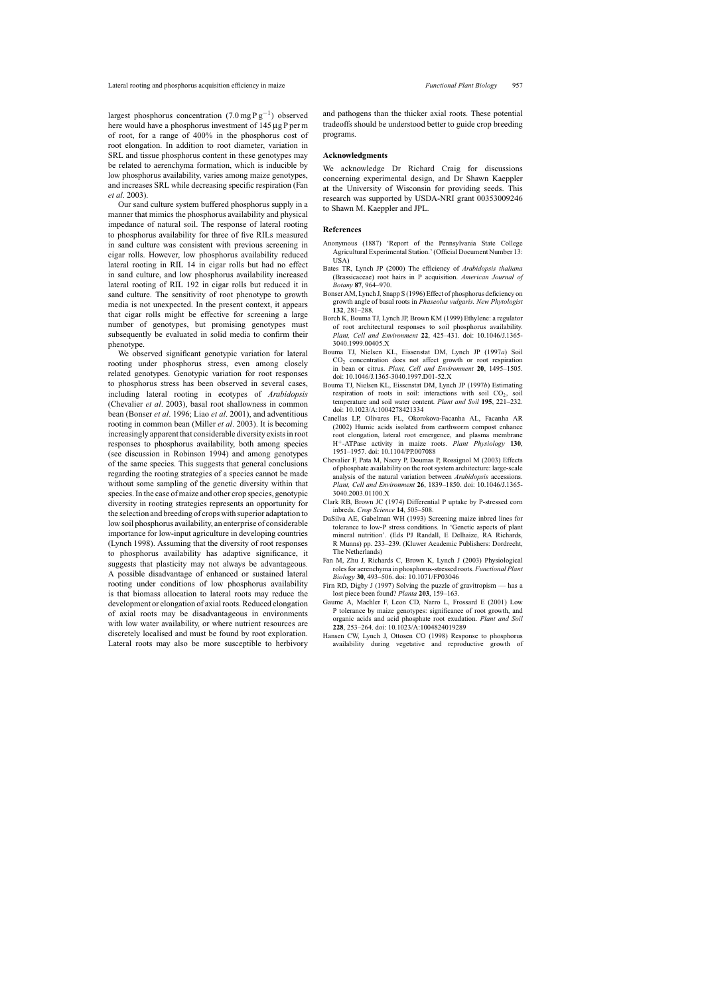<span id="page-8-0"></span>largest phosphorus concentration  $(7.0 \text{ mg} \text{ P g}^{-1})$  observed here would have a phosphorus investment of 145 µg P per m of root, for a range of 400% in the phosphorus cost of root elongation. In addition to root diameter, variation in SRL and tissue phosphorus content in these genotypes may be related to aerenchyma formation, which is inducible by low phosphorus availability, varies among maize genotypes, and increases SRL while decreasing specific respiration (Fan *et al*. 2003).

Our sand culture system buffered phosphorus supply in a manner that mimics the phosphorus availability and physical impedance of natural soil. The response of lateral rooting to phosphorus availability for three of five RILs measured in sand culture was consistent with previous screening in cigar rolls. However, low phosphorus availability reduced lateral rooting in RIL 14 in cigar rolls but had no effect in sand culture, and low phosphorus availability increased lateral rooting of RIL 192 in cigar rolls but reduced it in sand culture. The sensitivity of root phenotype to growth media is not unexpected. In the present context, it appears that cigar rolls might be effective for screening a large number of genotypes, but promising genotypes must subsequently be evaluated in solid media to confirm their phenotype.

We observed significant genotypic variation for lateral rooting under phosphorus stress, even among closely related genotypes. Genotypic variation for root responses to phosphorus stress has been observed in several cases, including lateral rooting in ecotypes of *Arabidopsis* (Chevalier *et al*. 2003), basal root shallowness in common bean (Bonser *et al*. 1996; Liao *et al*[. 2001\),](#page-9-0) and adventitious rooting in common bean (Miller *et al*[. 2003\).](#page-9-0) It is becoming increasingly apparent that considerable diversity exists in root responses to phosphorus availability, both among species (see discussion in [Robinson 1994\)](#page-9-0) and among genotypes of the same species. This suggests that general conclusions regarding the rooting strategies of a species cannot be made without some sampling of the genetic diversity within that species. In the case of maize and other crop species, genotypic diversity in rooting strategies represents an opportunity for the selection and breeding of crops with superior adaptation to low soil phosphorus availability, an enterprise of considerable importance for low-input agriculture in developing countries ([Lynch 1998\).](#page-9-0) Assuming that the diversity of root responses to phosphorus availability has adaptive significance, it suggests that plasticity may not always be advantageous. A possible disadvantage of enhanced or sustained lateral rooting under conditions of low phosphorus availability is that biomass allocation to lateral roots may reduce the development or elongation of axial roots. Reduced elongation of axial roots may be disadvantageous in environments with low water availability, or where nutrient resources are discretely localised and must be found by root exploration. Lateral roots may also be more susceptible to herbivory and pathogens than the thicker axial roots. These potential tradeoffs should be understood better to guide crop breeding programs.

### **Acknowledgments**

We acknowledge Dr Richard Craig for discussions concerning experimental design, and Dr Shawn Kaeppler at the University of Wisconsin for providing seeds. This research was supported by USDA-NRI grant 00353009246 to Shawn M. Kaeppler and JPL.

## **References**

- Anonymous (1887) 'Report of the Pennsylvania State College Agricultural Experimental Station.' (Official Document Number 13: USA)
- Bates TR, Lynch JP (2000) The efficiency of *Arabidopsis thaliana* (Brassicaceae) root hairs in P acquisition. *American Journal of Botany* **87**, 964–970.
- Bonser AM, Lynch J, Snapp S (1996) Effect of phosphorus deficiency on growth angle of basal roots in *Phaseolus vulgaris. New Phytologist* **132**, 281–288.
- Borch K, Bouma TJ, Lynch JP, Brown KM (1999) Ethylene: a regulator of root architectural responses to soil phosphorus availability. *Plant, Cell and Environment* **22**, 425–431. doi: 10.1046/J.1365- 3040.1999.00405.X
- Bouma TJ, Nielsen KL, Eissenstat DM, Lynch JP (1997a) Soil CO2 concentration does not affect growth or root respiration in bean or citrus. *Plant, Cell and Environment* **20**, 1495–1505. doi: 10.1046/J.1365-3040.1997.D01-52.X
- Bouma TJ, Nielsen KL, Eissenstat DM, Lynch JP (1997b) Estimating respiration of roots in soil: interactions with soil  $CO<sub>2</sub>$ , soil temperature and soil water content. *Plant and Soil* **195**, 221–232. doi: 10.1023/A:1004278421334
- Canellas LP, Olivares FL, Okorokova-Facanha AL, Facanha AR (2002) Humic acids isolated from earthworm compost enhance root elongation, lateral root emergence, and plasma membrane H+-ATPase activity in maize roots. *Plant Physiology* **130**, 1951–1957. doi: 10.1104/PP.007088
- Chevalier F, Pata M, Nacry P, Doumas P, Rossignol M (2003) Effects of phosphate availability on the root system architecture: large-scale analysis of the natural variation between *Arabidopsis* accessions. *Plant, Cell and Environment* **26**, 1839–1850. doi: 10.1046/J.1365- 3040.2003.01100.X
- Clark RB, Brown JC (1974) Differential P uptake by P-stressed corn inbreds. *Crop Science* **14**, 505–508.
- DaSilva AE, Gabelman WH (1993) Screening maize inbred lines for tolerance to low-P stress conditions. In 'Genetic aspects of plant mineral nutrition'. (Eds PJ Randall, E Delhaize, RA Richards, R Munns) pp. 233–239. (Kluwer Academic Publishers: Dordrecht, The Netherlands)
- Fan M, Zhu J, Richards C, Brown K, Lynch J (2003) Physiological roles for aerenchyma in phosphorus-stressed roots. *Functional Plant Biology* **30**, 493–506. doi: 10.1071/FP03046
- Firn RD, Digby J (1997) Solving the puzzle of gravitropism has a lost piece been found? *Planta* **203**, 159–163.
- Gaume A, Machler F, Leon CD, Narro L, Frossard E (2001) Low P tolerance by maize genotypes: significance of root growth, and organic acids and acid phosphate root exudation. *Plant and Soil* **228**, 253–264. doi: 10.1023/A:1004824019289
- Hansen CW, Lynch J, Ottosen CO (1998) Response to phosphorus availability during vegetative and reproductive growth of